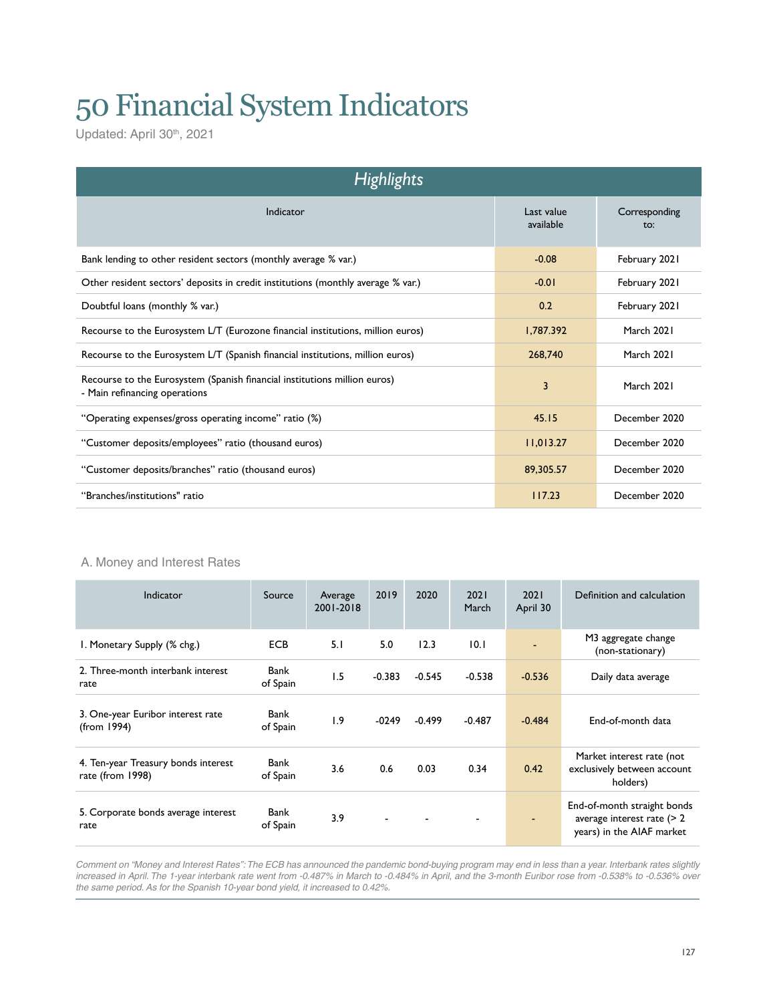# 50 Financial System Indicators

Updated: April 30<sup>th</sup>, 2021

| <b>Highlights</b>                                                                                          |                         |                      |  |  |  |  |  |  |
|------------------------------------------------------------------------------------------------------------|-------------------------|----------------------|--|--|--|--|--|--|
| Indicator                                                                                                  | Last value<br>available | Corresponding<br>to: |  |  |  |  |  |  |
| Bank lending to other resident sectors (monthly average % var.)                                            | $-0.08$                 | February 2021        |  |  |  |  |  |  |
| Other resident sectors' deposits in credit institutions (monthly average % var.)                           | $-0.01$                 | February 2021        |  |  |  |  |  |  |
| Doubtful loans (monthly % var.)                                                                            | 0.2                     | February 2021        |  |  |  |  |  |  |
| Recourse to the Eurosystem L/T (Eurozone financial institutions, million euros)                            | 1,787.392               | March 2021           |  |  |  |  |  |  |
| Recourse to the Eurosystem L/T (Spanish financial institutions, million euros)                             | 268,740                 | March 2021           |  |  |  |  |  |  |
| Recourse to the Eurosystem (Spanish financial institutions million euros)<br>- Main refinancing operations | 3                       | March 2021           |  |  |  |  |  |  |
| "Operating expenses/gross operating income" ratio (%)                                                      | 45.15                   | December 2020        |  |  |  |  |  |  |
| "Customer deposits/employees" ratio (thousand euros)                                                       | 11,013.27               | December 2020        |  |  |  |  |  |  |
| "Customer deposits/branches" ratio (thousand euros)                                                        | 89,305.57               | December 2020        |  |  |  |  |  |  |
| "Branches/institutions" ratio                                                                              | 117.23                  | December 2020        |  |  |  |  |  |  |

#### A. Money and Interest Rates

| Indicator                                               | Source           | Average<br>2001-2018 | 2019     | 2020     | 2021<br>March | 2021<br>April 30 | Definition and calculation                                                                |
|---------------------------------------------------------|------------------|----------------------|----------|----------|---------------|------------------|-------------------------------------------------------------------------------------------|
| I. Monetary Supply (% chg.)                             | <b>ECB</b>       | 5.1                  | 5.0      | 12.3     | 10.1          |                  | M3 aggregate change<br>(non-stationary)                                                   |
| 2. Three-month interbank interest<br>rate               | Bank<br>of Spain | 1.5                  | $-0.383$ | $-0.545$ | $-0.538$      | $-0.536$         | Daily data average                                                                        |
| 3. One-year Euribor interest rate<br>(from 1994)        | Bank<br>of Spain | 1.9                  | $-0249$  | $-0.499$ | $-0.487$      | $-0.484$         | End-of-month data                                                                         |
| 4. Ten-year Treasury bonds interest<br>rate (from 1998) | Bank<br>of Spain | 3.6                  | 0.6      | 0.03     | 0.34          | 0.42             | Market interest rate (not<br>exclusively between account<br>holders)                      |
| 5. Corporate bonds average interest<br>rate             | Bank<br>of Spain | 3.9                  |          |          |               |                  | End-of-month straight bonds<br>average interest rate $($ > 2<br>years) in the AIAF market |

Comment on "Money and Interest Rates": The ECB has announced the pandemic bond-buying program may end in less than a year. Interbank rates slightly *increased in April. The 1-year interbank rate went from -0.487% in March to -0.484% in April, and the 3-month Euribor rose from -0.538% to -0.536% over the same period. As for the Spanish 10-year bond yield, it increased to 0.42%.*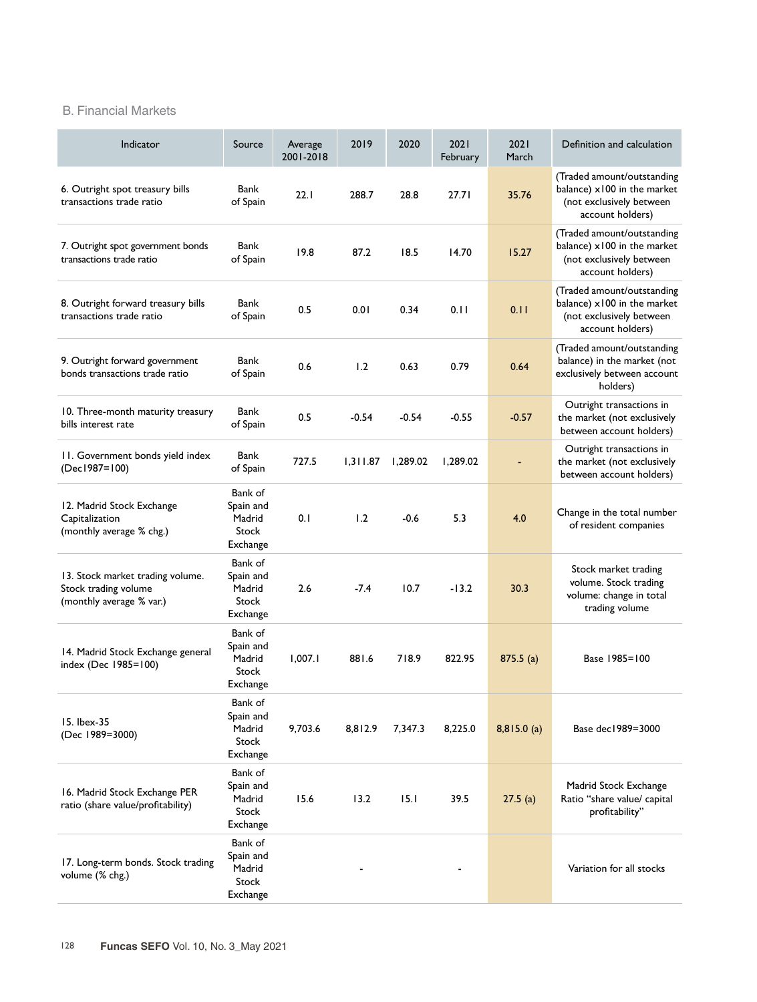#### B. Financial Markets

| Indicator                                                                            | Source                                              | Average<br>2001-2018 | 2019     | 2020     | 2021<br>February | 2021<br>March | Definition and calculation                                                                                |
|--------------------------------------------------------------------------------------|-----------------------------------------------------|----------------------|----------|----------|------------------|---------------|-----------------------------------------------------------------------------------------------------------|
| 6. Outright spot treasury bills<br>transactions trade ratio                          | Bank<br>of Spain                                    | 22.1                 | 288.7    | 28.8     | 27.71            | 35.76         | (Traded amount/outstanding<br>balance) x100 in the market<br>(not exclusively between<br>account holders) |
| 7. Outright spot government bonds<br>transactions trade ratio                        | Bank<br>of Spain                                    | 19.8                 | 87.2     | 18.5     | 14.70            | 15.27         | (Traded amount/outstanding<br>balance) x100 in the market<br>(not exclusively between<br>account holders) |
| 8. Outright forward treasury bills<br>transactions trade ratio                       | Bank<br>of Spain                                    | 0.5                  | 0.01     | 0.34     | 0.11             | 0.11          | (Traded amount/outstanding<br>balance) x100 in the market<br>(not exclusively between<br>account holders) |
| 9. Outright forward government<br>bonds transactions trade ratio                     | Bank<br>of Spain                                    | 0.6                  | 1.2      | 0.63     | 0.79             | 0.64          | (Traded amount/outstanding<br>balance) in the market (not<br>exclusively between account<br>holders)      |
| 10. Three-month maturity treasury<br>bills interest rate                             | Bank<br>of Spain                                    | 0.5                  | $-0.54$  | $-0.54$  | $-0.55$          | $-0.57$       | Outright transactions in<br>the market (not exclusively<br>between account holders)                       |
| 11. Government bonds yield index<br>(Dec1987=100)                                    | Bank<br>of Spain                                    | 727.5                | 1,311.87 | 1,289.02 | 1.289.02         | ٠             | Outright transactions in<br>the market (not exclusively<br>between account holders)                       |
| 12. Madrid Stock Exchange<br>Capitalization<br>(monthly average % chg.)              | Bank of<br>Spain and<br>Madrid<br>Stock<br>Exchange | 0.1                  | 1.2      | $-0.6$   | 5.3              | 4.0           | Change in the total number<br>of resident companies                                                       |
| 13. Stock market trading volume.<br>Stock trading volume<br>(monthly average % var.) | Bank of<br>Spain and<br>Madrid<br>Stock<br>Exchange | 2.6                  | $-7.4$   | 10.7     | $-13.2$          | 30.3          | Stock market trading<br>volume. Stock trading<br>volume: change in total<br>trading volume                |
| 14. Madrid Stock Exchange general<br>index (Dec 1985=100)                            | Bank of<br>Spain and<br>Madrid<br>Stock<br>Exchange | 1,007.1              | 881.6    | 718.9    | 822.95           | 875.5(a)      | Base 1985=100                                                                                             |
| 15. lbex-35<br>(Dec 1989=3000)                                                       | Bank of<br>Spain and<br>Madrid<br>Stock<br>Exchange | 9,703.6              | 8,812.9  | 7,347.3  | 8,225.0          | 8,815.0(a)    | Base dec 1989=3000                                                                                        |
| 16. Madrid Stock Exchange PER<br>ratio (share value/profitability)                   | Bank of<br>Spain and<br>Madrid<br>Stock<br>Exchange | 15.6                 | 13.2     | 15.1     | 39.5             | 27.5(a)       | Madrid Stock Exchange<br>Ratio "share value/ capital<br>profitability"                                    |
| 17. Long-term bonds. Stock trading<br>volume (% chg.)                                | Bank of<br>Spain and<br>Madrid<br>Stock<br>Exchange |                      |          |          |                  |               | Variation for all stocks                                                                                  |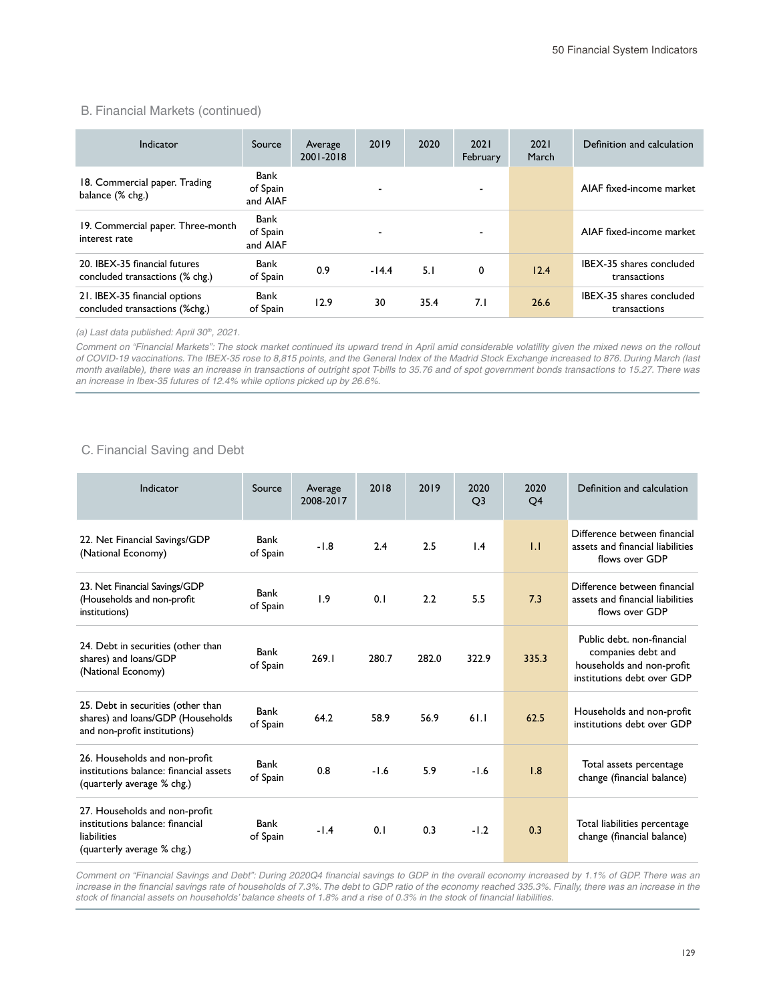#### B. Financial Markets (continued)

| Indicator                                                        | Source                       | Average<br>2001-2018 | 2019                     | 2020 | 2021<br>February | 2021<br>March | Definition and calculation               |
|------------------------------------------------------------------|------------------------------|----------------------|--------------------------|------|------------------|---------------|------------------------------------------|
| 18. Commercial paper. Trading<br>balance (% chg.)                | Bank<br>of Spain<br>and AIAF |                      | $\blacksquare$           |      | ۰                |               | AIAF fixed-income market                 |
| 19. Commercial paper. Three-month<br>interest rate               | Bank<br>of Spain<br>and AIAF |                      | $\overline{\phantom{0}}$ |      |                  |               | AIAF fixed-income market                 |
| 20. IBEX-35 financial futures<br>concluded transactions (% chg.) | Bank<br>of Spain             | 0.9                  | $-14.4$                  | 5.1  | 0                | 12.4          | IBEX-35 shares concluded<br>transactions |
| 21. IBEX-35 financial options<br>concluded transactions (%chg.)  | Bank<br>of Spain             | 12.9                 | 30                       | 35.4 | 7.1              | 26.6          | IBEX-35 shares concluded<br>transactions |

*(a) Last data published: April 30<sup>th</sup>, 2021.* 

*Comment on "Financial Markets": The stock market continued its upward trend in April amid considerable volatility given the mixed news on the rollout of COVID-19 vaccinations. The IBEX-35 rose to 8,815 points, and the General Index of the Madrid Stock Exchange increased to 876. During March (last month available), there was an increase in transactions of outright spot T-bills to 35.76 and of spot government bonds transactions to 15.27. There was an increase in Ibex-35 futures of 12.4% while options picked up by 26.6%.*

#### C. Financial Saving and Debt

| Indicator                                                                                                     | Source           | Average<br>2008-2017 | 2018   | 2019  | 2020<br>O <sub>3</sub> | 2020<br>Q4 | Definition and calculation                                                                                  |
|---------------------------------------------------------------------------------------------------------------|------------------|----------------------|--------|-------|------------------------|------------|-------------------------------------------------------------------------------------------------------------|
| 22. Net Financial Savings/GDP<br>(National Economy)                                                           | Bank<br>of Spain | $-1.8$               | 2.4    | 2.5   | 1.4                    | 1.1        | Difference between financial<br>assets and financial liabilities<br>flows over GDP                          |
| 23. Net Financial Savings/GDP<br>(Households and non-profit<br>institutions)                                  | Bank<br>of Spain | 1.9                  | 0.1    | 2.2   | 5.5                    | 7.3        | Difference between financial<br>assets and financial liabilities<br>flows over GDP                          |
| 24. Debt in securities (other than<br>shares) and loans/GDP<br>(National Economy)                             | Bank<br>of Spain | 269.1                | 280.7  | 282.0 | 322.9                  | 335.3      | Public debt. non-financial<br>companies debt and<br>households and non-profit<br>institutions debt over GDP |
| 25. Debt in securities (other than<br>shares) and loans/GDP (Households<br>and non-profit institutions)       | Bank<br>of Spain | 64.2                 | 58.9   | 56.9  | 61.1                   | 62.5       | Households and non-profit<br>institutions debt over GDP                                                     |
| 26. Households and non-profit<br>institutions balance: financial assets<br>(quarterly average % chg.)         | Bank<br>of Spain | 0.8                  | $-1.6$ | 5.9   | $-1.6$                 | 1.8        | Total assets percentage<br>change (financial balance)                                                       |
| 27. Households and non-profit<br>institutions balance: financial<br>liabilities<br>(quarterly average % chg.) | Bank<br>of Spain | $-1.4$               | 0.1    | 0.3   | $-1.2$                 | 0.3        | Total liabilities percentage<br>change (financial balance)                                                  |

*Comment on "Financial Savings and Debt": During 2020Q4 financial savings to GDP in the overall economy increased by 1.1% of GDP. There was an*  increase in the financial savings rate of households of 7.3%. The debt to GDP ratio of the economy reached 335.3%. Finally, there was an increase in the *stock of financial assets on households' balance sheets of 1.8% and a rise of 0.3% in the stock of financial liabilities.*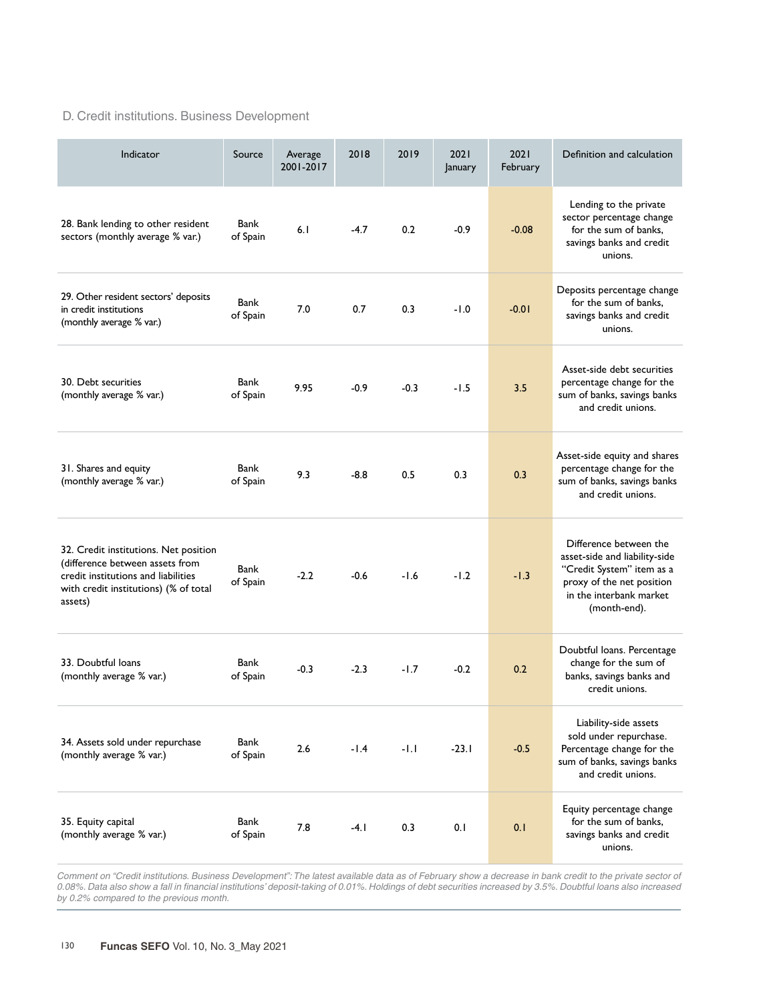### D. Credit institutions. Business Development

| Indicator                                                                                                                                                           | Source           | Average<br>2001-2017 | 2018   | 2019   | 2021<br>January | 2021<br>February | Definition and calculation                                                                                                                                   |
|---------------------------------------------------------------------------------------------------------------------------------------------------------------------|------------------|----------------------|--------|--------|-----------------|------------------|--------------------------------------------------------------------------------------------------------------------------------------------------------------|
| 28. Bank lending to other resident<br>sectors (monthly average % var.)                                                                                              | Bank<br>of Spain | 6.1                  | $-4.7$ | 0.2    | $-0.9$          | $-0.08$          | Lending to the private<br>sector percentage change<br>for the sum of banks,<br>savings banks and credit<br>unions.                                           |
| 29. Other resident sectors' deposits<br>in credit institutions<br>(monthly average % var.)                                                                          | Bank<br>of Spain | 7.0                  | 0.7    | 0.3    | $-1.0$          | $-0.01$          | Deposits percentage change<br>for the sum of banks,<br>savings banks and credit<br>unions.                                                                   |
| 30. Debt securities<br>(monthly average % var.)                                                                                                                     | Bank<br>of Spain | 9.95                 | $-0.9$ | $-0.3$ | $-1.5$          | 3.5              | Asset-side debt securities<br>percentage change for the<br>sum of banks, savings banks<br>and credit unions.                                                 |
| 31. Shares and equity<br>(monthly average % var.)                                                                                                                   | Bank<br>of Spain | 9.3                  | $-8.8$ | 0.5    | 0.3             | 0.3              | Asset-side equity and shares<br>percentage change for the<br>sum of banks, savings banks<br>and credit unions.                                               |
| 32. Credit institutions. Net position<br>(difference between assets from<br>credit institutions and liabilities<br>with credit institutions) (% of total<br>assets) | Bank<br>of Spain | $-2.2$               | $-0.6$ | $-1.6$ | $-1.2$          | $-1.3$           | Difference between the<br>asset-side and liability-side<br>"Credit System" item as a<br>proxy of the net position<br>in the interbank market<br>(month-end). |
| 33. Doubtful loans<br>(monthly average % var.)                                                                                                                      | Bank<br>of Spain | $-0.3$               | $-2.3$ | $-1.7$ | $-0.2$          | 0.2              | Doubtful loans. Percentage<br>change for the sum of<br>banks, savings banks and<br>credit unions.                                                            |
| 34. Assets sold under repurchase<br>(monthly average % var.)                                                                                                        | Bank<br>of Spain | 2.6                  | -1.4   | $-1.1$ | $-23.1$         | $-0.5$           | Liability-side assets<br>sold under repurchase.<br>Percentage change for the<br>sum of banks, savings banks<br>and credit unions.                            |
| 35. Equity capital<br>(monthly average % var.)                                                                                                                      | Bank<br>of Spain | 7.8                  | $-4.1$ | 0.3    | 0.1             | 0.1              | Equity percentage change<br>for the sum of banks,<br>savings banks and credit<br>unions.                                                                     |

Comment on "Credit institutions. Business Development": The latest available data as of February show a decrease in bank credit to the private sector of *0.08%. Data also show a fall in financial institutions' deposit-taking of 0.01%. Holdings of debt securities increased by 3.5%. Doubtful loans also increased by 0.2% compared to the previous month.*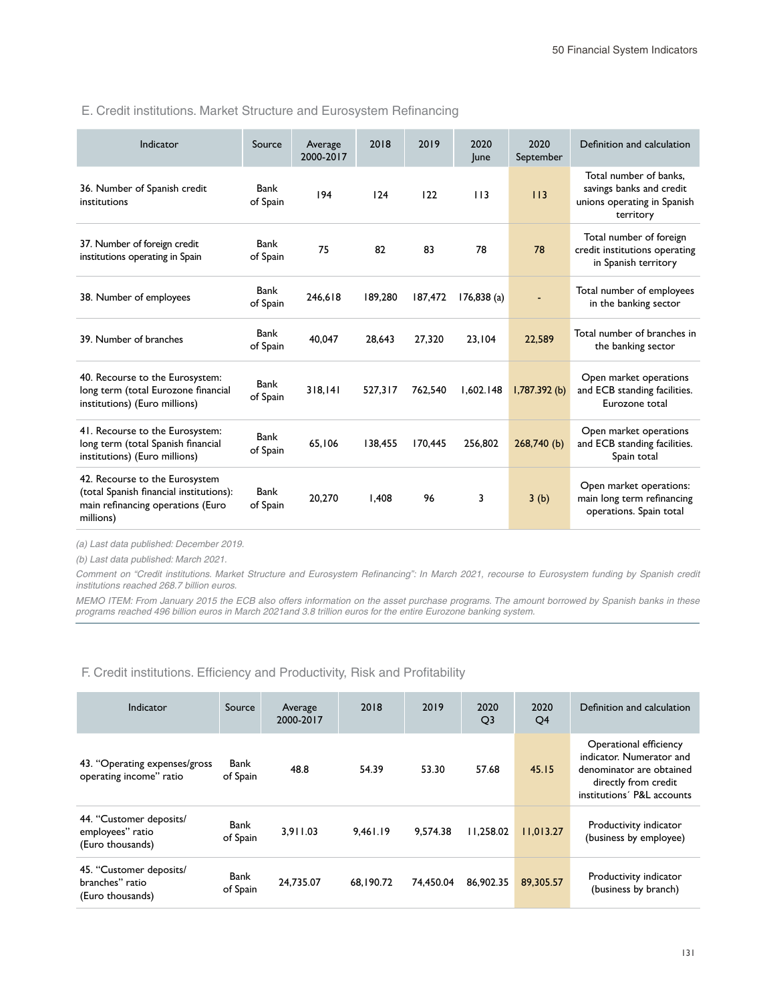#### E. Credit institutions. Market Structure and Eurosystem Refinancing

| Indicator                                                                                                                   | Source                  | Average<br>2000-2017 | 2018    | 2019    | 2020<br>lune | 2020<br>September | Definition and calculation                                                                     |
|-----------------------------------------------------------------------------------------------------------------------------|-------------------------|----------------------|---------|---------|--------------|-------------------|------------------------------------------------------------------------------------------------|
| 36. Number of Spanish credit<br>institutions                                                                                | Bank<br>of Spain        | 194                  | 124     | 122     | 113          | 113               | Total number of banks.<br>savings banks and credit<br>unions operating in Spanish<br>territory |
| 37. Number of foreign credit<br>institutions operating in Spain                                                             | Bank<br>of Spain        | 75                   | 82      | 83      | 78           | 78                | Total number of foreign<br>credit institutions operating<br>in Spanish territory               |
| 38. Number of employees                                                                                                     | Bank<br>of Spain        | 246.618              | 189,280 | 187.472 | 176,838(a)   | ٠                 | Total number of employees<br>in the banking sector                                             |
| 39. Number of branches                                                                                                      | Bank<br>of Spain        | 40.047               | 28.643  | 27.320  | 23.104       | 22.589            | Total number of branches in<br>the banking sector                                              |
| 40. Recourse to the Eurosystem:<br>long term (total Eurozone financial<br>institutions) (Euro millions)                     | Bank<br>of Spain        | 318.141              | 527.317 | 762.540 | 1.602.148    | $1,787.392$ (b)   | Open market operations<br>and ECB standing facilities.<br>Eurozone total                       |
| 41. Recourse to the Eurosystem:<br>long term (total Spanish financial<br>institutions) (Euro millions)                      | <b>Bank</b><br>of Spain | 65,106               | 138,455 | 170.445 | 256.802      | 268,740 (b)       | Open market operations<br>and ECB standing facilities.<br>Spain total                          |
| 42. Recourse to the Eurosystem<br>(total Spanish financial institutions):<br>main refinancing operations (Euro<br>millions) | Bank<br>of Spain        | 20,270               | 1.408   | 96      | 3            | 3(b)              | Open market operations:<br>main long term refinancing<br>operations. Spain total               |

*(a) Last data published: December 2019.*

*(b) Last data published: March 2021.*

Comment on "Credit institutions. Market Structure and Eurosystem Refinancing": In March 2021, recourse to Eurosystem funding by Spanish credit *institutions reached 268.7 billion euros.*

*MEMO ITEM: From January 2015 the ECB also offers information on the asset purchase programs. The amount borrowed by Spanish banks in these programs reached 496 billion euros in March 2021and 3.8 trillion euros for the entire Eurozone banking system.*

F. Credit institutions. Efficiency and Productivity, Risk and Profitability

| Indicator                                                       | Source           | Average<br>2000-2017 | 2018      | 2019      | 2020<br>Q <sub>3</sub> | 2020<br>Q4 | Definition and calculation                                                                                                           |
|-----------------------------------------------------------------|------------------|----------------------|-----------|-----------|------------------------|------------|--------------------------------------------------------------------------------------------------------------------------------------|
| 43. "Operating expenses/gross<br>operating income" ratio        | Bank<br>of Spain | 48.8                 | 54.39     | 53.30     | 57.68                  | 45.15      | Operational efficiency<br>indicator. Numerator and<br>denominator are obtained<br>directly from credit<br>institutions' P&L accounts |
| 44. "Customer deposits/<br>employees" ratio<br>(Euro thousands) | Bank<br>of Spain | 3.911.03             | 9.461.19  | 9.574.38  | 11.258.02              | 11,013.27  | Productivity indicator<br>(business by employee)                                                                                     |
| 45. "Customer deposits/<br>branches" ratio<br>(Euro thousands)  | Bank<br>of Spain | 24.735.07            | 68.190.72 | 74.450.04 | 86,902.35              | 89.305.57  | Productivity indicator<br>(business by branch)                                                                                       |